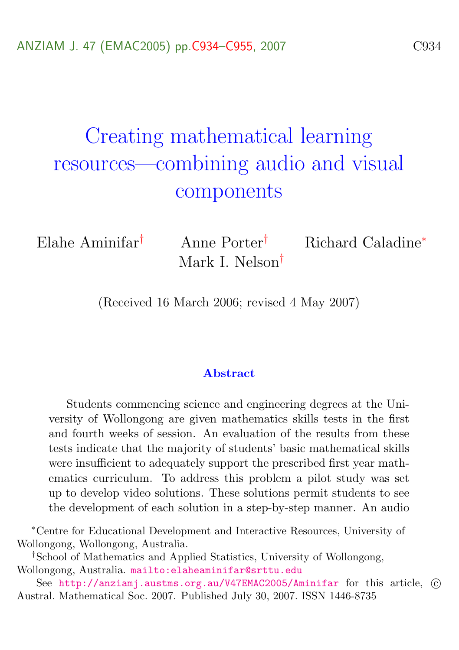# Creating mathematical learning resources—combining audio and visual components

Mark I. Nelson†

Elahe Aminifar† Anne Porter† Richard Caladine<sup>∗</sup>

(Received 16 March 2006; revised 4 May 2007)

#### **Abstract**

Students commencing science and engineering degrees at the University of Wollongong are given mathematics skills tests in the first and fourth weeks of session. An evaluation of the results from these tests indicate that the majority of students' basic mathematical skills were insufficient to adequately support the prescribed first year mathematics curriculum. To address this problem a pilot study was set up to develop video solutions. These solutions permit students to see the development of each solution in a step-by-step manner. An audio

<sup>∗</sup>Centre for Educational Development and Interactive Resources, University of Wollongong, Wollongong, Australia.

<sup>†</sup>School of Mathematics and Applied Statistics, University of Wollongong, Wollongong, Australia. <mailto:elaheaminifar@srttu.edu>

See <http://anziamj.austms.org.au/V47EMAC2005/Aminifar> for this article, © Austral. Mathematical Soc. 2007. Published July 30, 2007. ISSN 1446-8735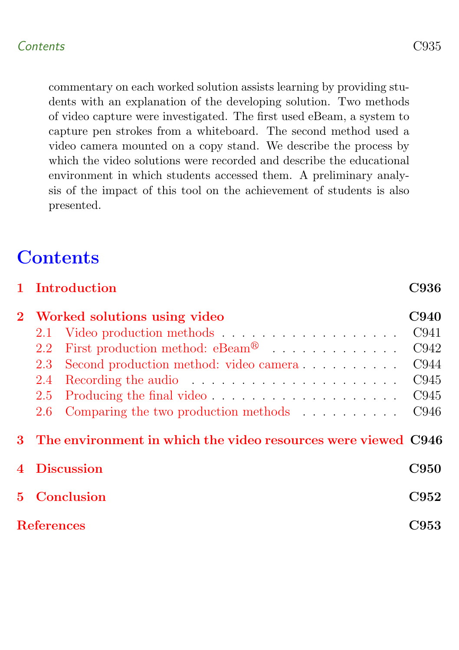commentary on each worked solution assists learning by providing students with an explanation of the developing solution. Two methods of video capture were investigated. The first used eBeam, a system to capture pen strokes from a whiteboard. The second method used a video camera mounted on a copy stand. We describe the process by which the video solutions were recorded and describe the educational environment in which students accessed them. A preliminary analysis of the impact of this tool on the achievement of students is also presented.

## **Contents**

<span id="page-1-0"></span>

|             |                   | 1 Introduction                                                                                                                                                                                                                 | <b>C936</b> |
|-------------|-------------------|--------------------------------------------------------------------------------------------------------------------------------------------------------------------------------------------------------------------------------|-------------|
| $\bf{2}$    |                   | Worked solutions using video                                                                                                                                                                                                   | <b>C940</b> |
|             | 2.1               |                                                                                                                                                                                                                                | C941        |
|             | 2.2               | First production method: $eBeam^@$                                                                                                                                                                                             | C942        |
|             | 2.3               | Second production method: video camera                                                                                                                                                                                         | C944        |
|             | 2.4               | Recording the audio resolution is a series of the series of the series of the series of the series of the series of the series of the series of the series of the series of the series of the series of the series of the seri | C945        |
|             | 2.5               |                                                                                                                                                                                                                                | C945        |
|             | 2.6               | Comparing the two production methods                                                                                                                                                                                           | C946        |
|             |                   | 3 The environment in which the video resources were viewed C946                                                                                                                                                                |             |
|             | 4 Discussion      |                                                                                                                                                                                                                                | <b>C950</b> |
| $5^{\circ}$ | Conclusion        |                                                                                                                                                                                                                                | C952        |
|             | <b>References</b> |                                                                                                                                                                                                                                | C953        |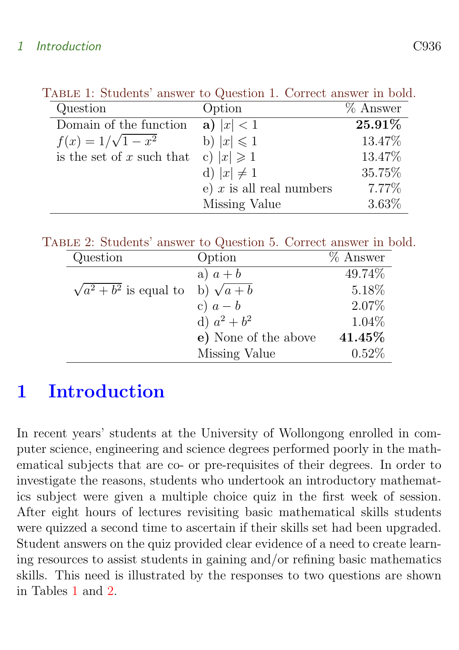<span id="page-2-0"></span>

| Question                    | Option                     | $%$ Answer |
|-----------------------------|----------------------------|------------|
| Domain of the function      | a) $ x  < 1$               | 25.91%     |
| $f(x) = 1/\sqrt{1-x^2}$     | b) $ x  \leq 1$            | 13.47%     |
| is the set of $x$ such that | c) $ x  \geqslant 1$       | 13.47%     |
|                             | d) $ x  \neq 1$            | 35.75%     |
|                             | e) $x$ is all real numbers | 7.77%      |
|                             | Missing Value              | 3.63%      |

TABLE 1: Students' answer to Question 1. Correct answer in bold.

Table 2: Students' answer to Question 5. Correct answer in bold.

<span id="page-2-1"></span>

| Question                       | Option               | $%$ Answer |
|--------------------------------|----------------------|------------|
|                                | a) $a + b$           | 49.74%     |
| $\sqrt{a^2 + b^2}$ is equal to | b) $\sqrt{a+b}$      | 5.18%      |
|                                | c) $a-b$             | 2.07%      |
|                                | d) $a^2 + b^2$       | $1.04\%$   |
|                                | e) None of the above | 41.45%     |
|                                | Missing Value        | 0.52%      |

## 1 Introduction

In recent years' students at the University of Wollongong enrolled in computer science, engineering and science degrees performed poorly in the mathematical subjects that are co- or pre-requisites of their degrees. In order to investigate the reasons, students who undertook an introductory mathematics subject were given a multiple choice quiz in the first week of session. After eight hours of lectures revisiting basic mathematical skills students were quizzed a second time to ascertain if their skills set had been upgraded. Student answers on the quiz provided clear evidence of a need to create learning resources to assist students in gaining and/or refining basic mathematics skills. This need is illustrated by the responses to two questions are shown in Tables [1](#page-2-0) and [2.](#page-2-1)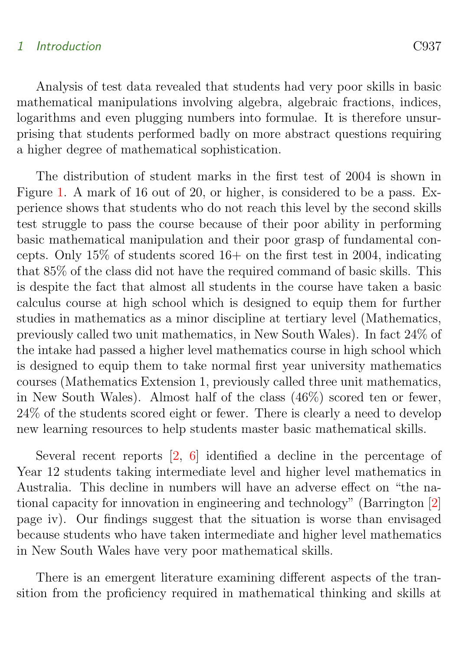<span id="page-3-0"></span>Analysis of test data revealed that students had very poor skills in basic mathematical manipulations involving algebra, algebraic fractions, indices, logarithms and even plugging numbers into formulae. It is therefore unsurprising that students performed badly on more abstract questions requiring a higher degree of mathematical sophistication.

The distribution of student marks in the first test of 2004 is shown in Figure [1.](#page-4-0) A mark of 16 out of 20, or higher, is considered to be a pass. Experience shows that students who do not reach this level by the second skills test struggle to pass the course because of their poor ability in performing basic mathematical manipulation and their poor grasp of fundamental concepts. Only  $15\%$  of students scored  $16+$  on the first test in 2004, indicating that 85% of the class did not have the required command of basic skills. This is despite the fact that almost all students in the course have taken a basic calculus course at high school which is designed to equip them for further studies in mathematics as a minor discipline at tertiary level (Mathematics, previously called two unit mathematics, in New South Wales). In fact 24% of the intake had passed a higher level mathematics course in high school which is designed to equip them to take normal first year university mathematics courses (Mathematics Extension 1, previously called three unit mathematics, in New South Wales). Almost half of the class (46%) scored ten or fewer, 24% of the students scored eight or fewer. There is clearly a need to develop new learning resources to help students master basic mathematical skills.

Several recent reports [\[2,](#page-19-1) [6\]](#page-19-2) identified a decline in the percentage of Year 12 students taking intermediate level and higher level mathematics in Australia. This decline in numbers will have an adverse effect on "the national capacity for innovation in engineering and technology" (Barrington [\[2\]](#page-19-1) page iv). Our findings suggest that the situation is worse than envisaged because students who have taken intermediate and higher level mathematics in New South Wales have very poor mathematical skills.

There is an emergent literature examining different aspects of the transition from the proficiency required in mathematical thinking and skills at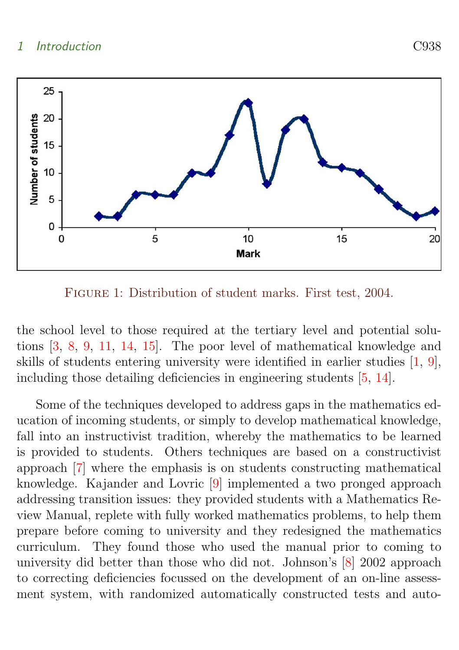<span id="page-4-1"></span>

<span id="page-4-0"></span>FIGURE 1: Distribution of student marks. First test, 2004.

the school level to those required at the tertiary level and potential solutions [\[3,](#page-19-3) [8,](#page-20-0) [9,](#page-20-1) [11,](#page-20-2) [14,](#page-20-3) [15\]](#page-21-0). The poor level of mathematical knowledge and skills of students entering university were identified in earlier studies [\[1,](#page-19-4) [9\]](#page-20-1), including those detailing deficiencies in engineering students [\[5,](#page-19-5) [14\]](#page-20-3).

Some of the techniques developed to address gaps in the mathematics education of incoming students, or simply to develop mathematical knowledge, fall into an instructivist tradition, whereby the mathematics to be learned is provided to students. Others techniques are based on a constructivist approach [\[7\]](#page-20-4) where the emphasis is on students constructing mathematical knowledge. Kajander and Lovric [\[9\]](#page-20-1) implemented a two pronged approach addressing transition issues: they provided students with a Mathematics Review Manual, replete with fully worked mathematics problems, to help them prepare before coming to university and they redesigned the mathematics curriculum. They found those who used the manual prior to coming to university did better than those who did not. Johnson's [\[8\]](#page-20-0) 2002 approach to correcting deficiencies focussed on the development of an on-line assessment system, with randomized automatically constructed tests and auto-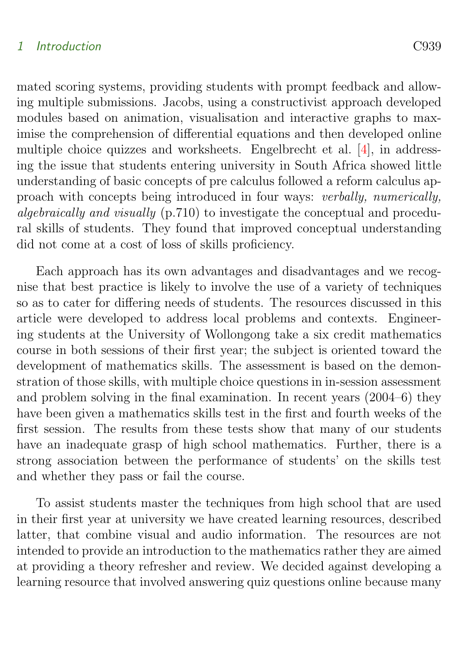<span id="page-5-0"></span>mated scoring systems, providing students with prompt feedback and allowing multiple submissions. Jacobs, using a constructivist approach developed modules based on animation, visualisation and interactive graphs to maximise the comprehension of differential equations and then developed online multiple choice quizzes and worksheets. Engelbrecht et al. [\[4\]](#page-19-6), in addressing the issue that students entering university in South Africa showed little understanding of basic concepts of pre calculus followed a reform calculus approach with concepts being introduced in four ways: verbally, numerically, algebraically and visually (p.710) to investigate the conceptual and procedural skills of students. They found that improved conceptual understanding did not come at a cost of loss of skills proficiency.

Each approach has its own advantages and disadvantages and we recognise that best practice is likely to involve the use of a variety of techniques so as to cater for differing needs of students. The resources discussed in this article were developed to address local problems and contexts. Engineering students at the University of Wollongong take a six credit mathematics course in both sessions of their first year; the subject is oriented toward the development of mathematics skills. The assessment is based on the demonstration of those skills, with multiple choice questions in in-session assessment and problem solving in the final examination. In recent years (2004–6) they have been given a mathematics skills test in the first and fourth weeks of the first session. The results from these tests show that many of our students have an inadequate grasp of high school mathematics. Further, there is a strong association between the performance of students' on the skills test and whether they pass or fail the course.

To assist students master the techniques from high school that are used in their first year at university we have created learning resources, described latter, that combine visual and audio information. The resources are not intended to provide an introduction to the mathematics rather they are aimed at providing a theory refresher and review. We decided against developing a learning resource that involved answering quiz questions online because many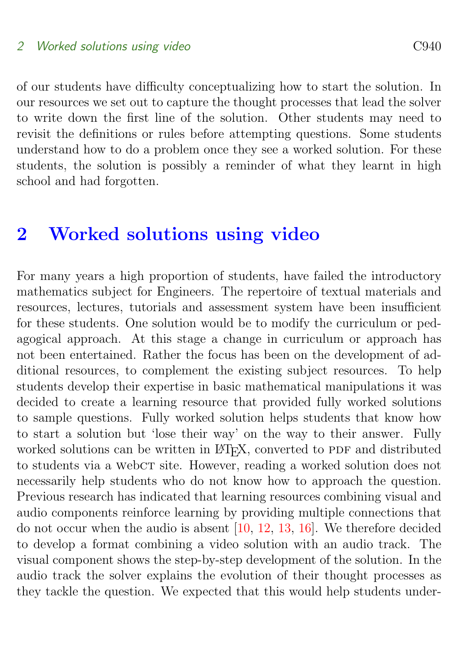<span id="page-6-1"></span>of our students have difficulty conceptualizing how to start the solution. In our resources we set out to capture the thought processes that lead the solver to write down the first line of the solution. Other students may need to revisit the definitions or rules before attempting questions. Some students understand how to do a problem once they see a worked solution. For these students, the solution is possibly a reminder of what they learnt in high school and had forgotten.

## <span id="page-6-0"></span>2 Worked solutions using video

For many years a high proportion of students, have failed the introductory mathematics subject for Engineers. The repertoire of textual materials and resources, lectures, tutorials and assessment system have been insufficient for these students. One solution would be to modify the curriculum or pedagogical approach. At this stage a change in curriculum or approach has not been entertained. Rather the focus has been on the development of additional resources, to complement the existing subject resources. To help students develop their expertise in basic mathematical manipulations it was decided to create a learning resource that provided fully worked solutions to sample questions. Fully worked solution helps students that know how to start a solution but 'lose their way' on the way to their answer. Fully worked solutions can be written in LATEX, converted to PDF and distributed to students via a webct site. However, reading a worked solution does not necessarily help students who do not know how to approach the question. Previous research has indicated that learning resources combining visual and audio components reinforce learning by providing multiple connections that do not occur when the audio is absent [\[10,](#page-20-5) [12,](#page-20-6) [13,](#page-20-7) [16\]](#page-21-1). We therefore decided to develop a format combining a video solution with an audio track. The visual component shows the step-by-step development of the solution. In the audio track the solver explains the evolution of their thought processes as they tackle the question. We expected that this would help students under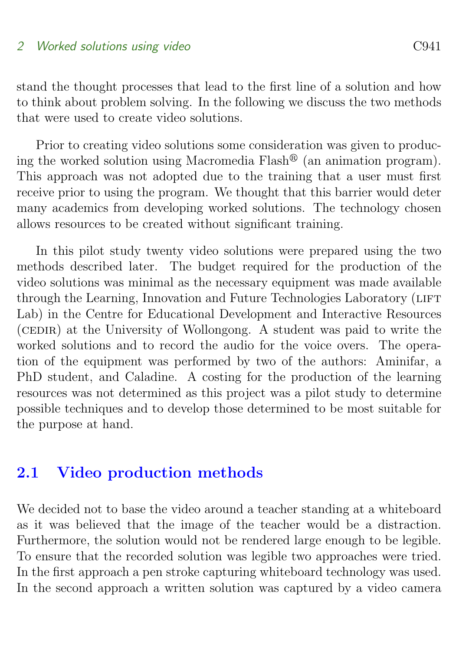stand the thought processes that lead to the first line of a solution and how to think about problem solving. In the following we discuss the two methods that were used to create video solutions.

Prior to creating video solutions some consideration was given to producing the worked solution using Macromedia Flash<sup> $\mathcal{B}$ </sup> (an animation program). This approach was not adopted due to the training that a user must first receive prior to using the program. We thought that this barrier would deter many academics from developing worked solutions. The technology chosen allows resources to be created without significant training.

In this pilot study twenty video solutions were prepared using the two methods described later. The budget required for the production of the video solutions was minimal as the necessary equipment was made available through the Learning, Innovation and Future Technologies Laboratory (LIFT) Lab) in the Centre for Educational Development and Interactive Resources (CEDIR) at the University of Wollongong. A student was paid to write the worked solutions and to record the audio for the voice overs. The operation of the equipment was performed by two of the authors: Aminifar, a PhD student, and Caladine. A costing for the production of the learning resources was not determined as this project was a pilot study to determine possible techniques and to develop those determined to be most suitable for the purpose at hand.

### <span id="page-7-0"></span>2.1 Video production methods

We decided not to base the video around a teacher standing at a whiteboard as it was believed that the image of the teacher would be a distraction. Furthermore, the solution would not be rendered large enough to be legible. To ensure that the recorded solution was legible two approaches were tried. In the first approach a pen stroke capturing whiteboard technology was used. In the second approach a written solution was captured by a video camera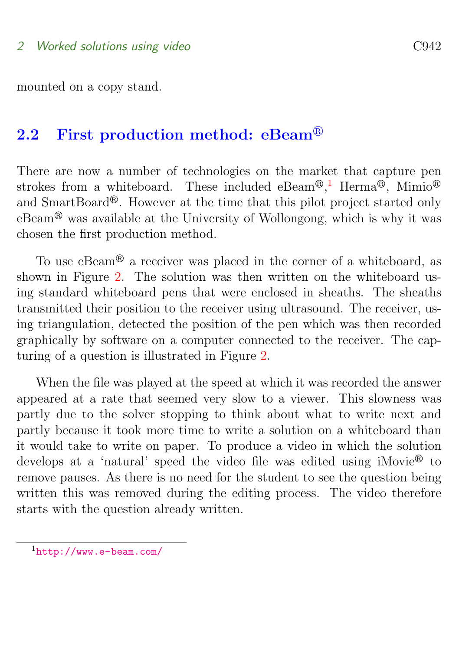mounted on a copy stand.

## <span id="page-8-0"></span>2.2 First production method:  $eBeam^@$

There are now a number of technologies on the market that capture pen strokes from a whiteboard. These included eBeam<sup>®</sup>,<sup>[1](#page-8-2)</sup> Herma<sup>®</sup>, Mimio<sup>®</sup> and SmartBoard<sup>®</sup>. However at the time that this pilot project started only  $eBeam^®$  was available at the University of Wollongong, which is why it was chosen the first production method.

To use  $eBeam^@$  a receiver was placed in the corner of a whiteboard, as shown in Figure [2.](#page-9-0) The solution was then written on the whiteboard using standard whiteboard pens that were enclosed in sheaths. The sheaths transmitted their position to the receiver using ultrasound. The receiver, using triangulation, detected the position of the pen which was then recorded graphically by software on a computer connected to the receiver. The capturing of a question is illustrated in Figure [2.](#page-9-0)

When the file was played at the speed at which it was recorded the answer appeared at a rate that seemed very slow to a viewer. This slowness was partly due to the solver stopping to think about what to write next and partly because it took more time to write a solution on a whiteboard than it would take to write on paper. To produce a video in which the solution develops at a 'natural' speed the video file was edited using iMovie<sup>®</sup> to remove pauses. As there is no need for the student to see the question being written this was removed during the editing process. The video therefore starts with the question already written.

<span id="page-8-2"></span><span id="page-8-1"></span><sup>1</sup><http://www.e-beam.com/>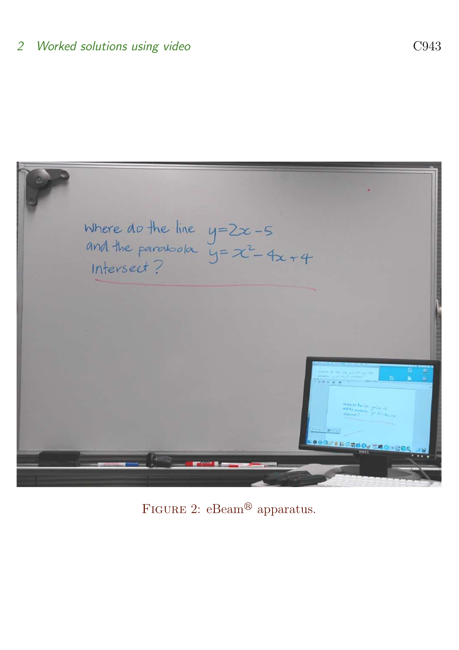

<span id="page-9-0"></span>FIGURE 2:  $e$ Beam<sup>®</sup> apparatus.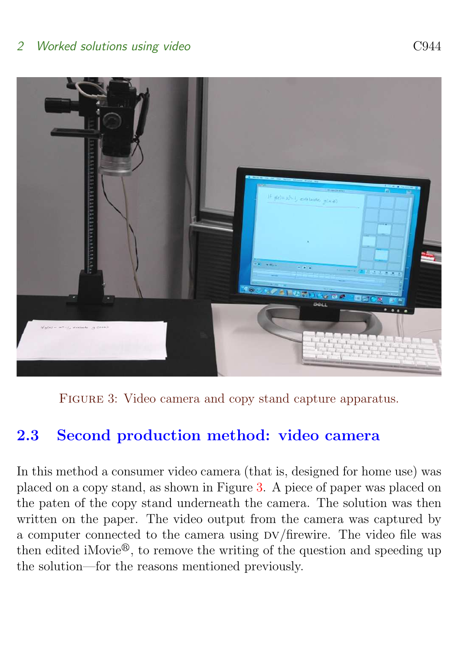

FIGURE 3: Video camera and copy stand capture apparatus.

## <span id="page-10-1"></span>2.3 Second production method: video camera

<span id="page-10-0"></span>In this method a consumer video camera (that is, designed for home use) was placed on a copy stand, as shown in Figure [3.](#page-10-1) A piece of paper was placed on the paten of the copy stand underneath the camera. The solution was then written on the paper. The video output from the camera was captured by a computer connected to the camera using  $DV/firewire$ . The video file was then edited iMovie $^{\circledR}$ , to remove the writing of the question and speeding up the solution—for the reasons mentioned previously.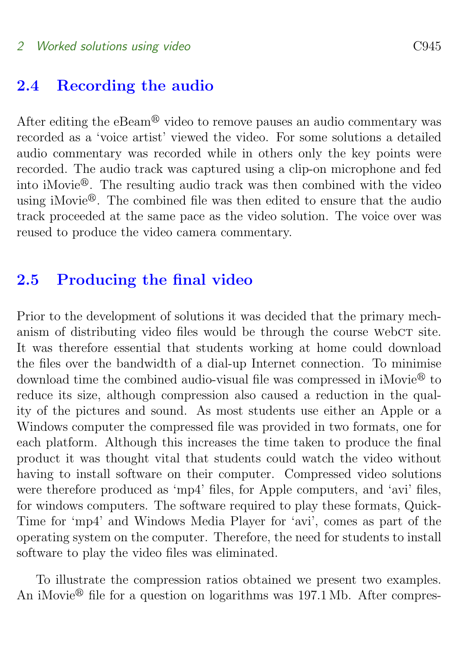### 2.4 Recording the audio

After editing the eBeam<sup>®</sup> video to remove pauses an audio commentary was recorded as a 'voice artist' viewed the video. For some solutions a detailed audio commentary was recorded while in others only the key points were recorded. The audio track was captured using a clip-on microphone and fed into iMovie<sup>®</sup>. The resulting audio track was then combined with the video using iMovie<sup> $\mathbf{\Theta}$ </sup>. The combined file was then edited to ensure that the audio track proceeded at the same pace as the video solution. The voice over was reused to produce the video camera commentary.

### <span id="page-11-0"></span>2.5 Producing the final video

Prior to the development of solutions it was decided that the primary mechanism of distributing video files would be through the course webc $\tau$  site. It was therefore essential that students working at home could download the files over the bandwidth of a dial-up Internet connection. To minimise download time the combined audio-visual file was compressed in  $i$ Movie<sup>®</sup> to reduce its size, although compression also caused a reduction in the quality of the pictures and sound. As most students use either an Apple or a Windows computer the compressed file was provided in two formats, one for each platform. Although this increases the time taken to produce the final product it was thought vital that students could watch the video without having to install software on their computer. Compressed video solutions were therefore produced as 'mp4' files, for Apple computers, and 'avi' files, for windows computers. The software required to play these formats, Quick-Time for 'mp4' and Windows Media Player for 'avi', comes as part of the operating system on the computer. Therefore, the need for students to install software to play the video files was eliminated.

To illustrate the compression ratios obtained we present two examples. An iMovie<sup> $\circledR$ </sup> file for a question on logarithms was 197.1 Mb. After compres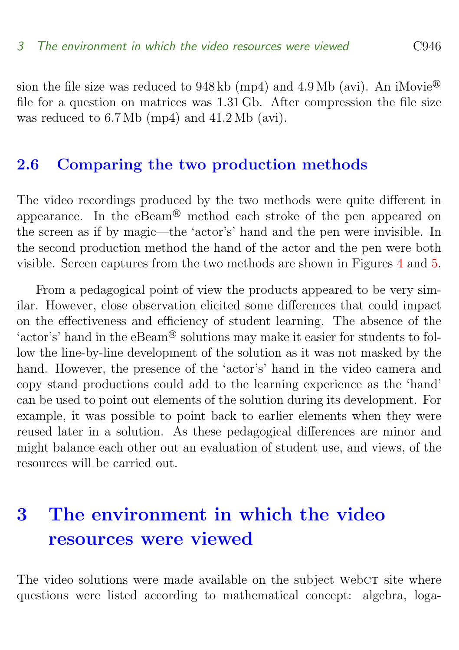sion the file size was reduced to  $948 \text{ kb (mp4)}$  and  $4.9 \text{ Mb (avi)}$ . An iMovie<sup>®</sup> file for a question on matrices was 1.31 Gb. After compression the file size was reduced to 6.7 Mb (mp4) and 41.2 Mb (avi).

### <span id="page-12-0"></span>2.6 Comparing the two production methods

The video recordings produced by the two methods were quite different in appearance. In the eBeam<sup>®</sup> method each stroke of the pen appeared on the screen as if by magic—the 'actor's' hand and the pen were invisible. In the second production method the hand of the actor and the pen were both visible. Screen captures from the two methods are shown in Figures [4](#page-13-0) and [5.](#page-14-0)

From a pedagogical point of view the products appeared to be very similar. However, close observation elicited some differences that could impact on the effectiveness and efficiency of student learning. The absence of the 'actor's' hand in the eBeam<sup>®</sup> solutions may make it easier for students to follow the line-by-line development of the solution as it was not masked by the hand. However, the presence of the 'actor's' hand in the video camera and copy stand productions could add to the learning experience as the 'hand' can be used to point out elements of the solution during its development. For example, it was possible to point back to earlier elements when they were reused later in a solution. As these pedagogical differences are minor and might balance each other out an evaluation of student use, and views, of the resources will be carried out.

## <span id="page-12-1"></span>3 The environment in which the video resources were viewed

The video solutions were made available on the subject webc $T$  site where questions were listed according to mathematical concept: algebra, loga-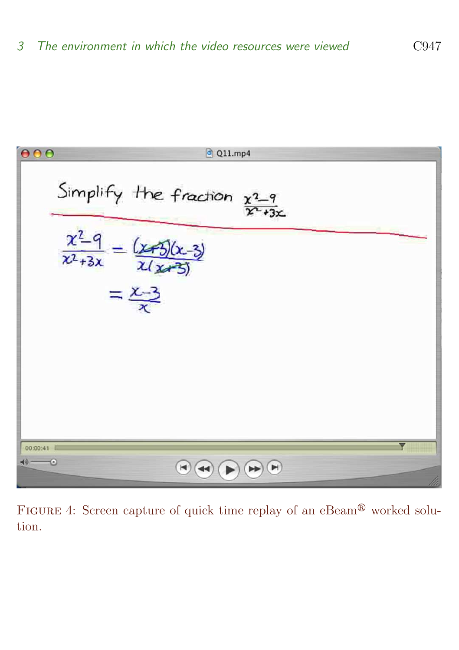

<span id="page-13-0"></span>FIGURE 4: Screen capture of quick time replay of an eBeam<sup>®</sup> worked solution.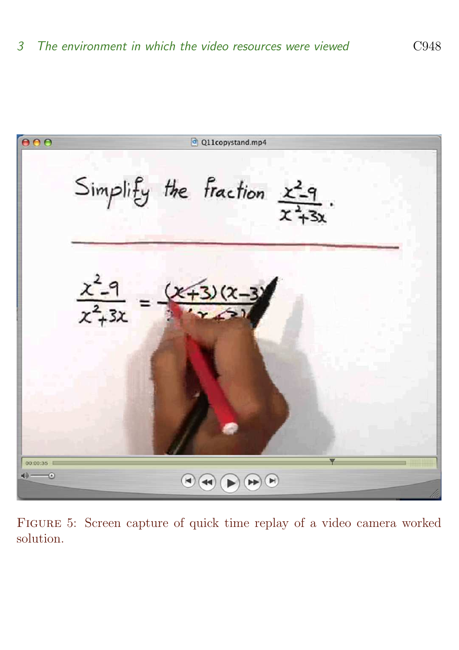

<span id="page-14-0"></span>Figure 5: Screen capture of quick time replay of a video camera worked solution.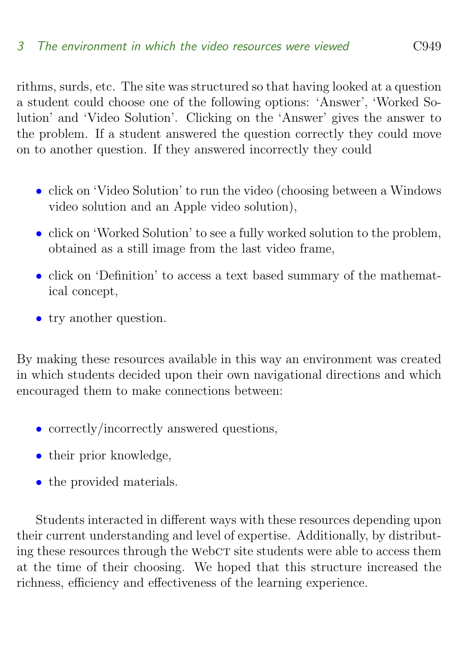rithms, surds, etc. The site was structured so that having looked at a question a student could choose one of the following options: 'Answer', 'Worked Solution' and 'Video Solution'. Clicking on the 'Answer' gives the answer to the problem. If a student answered the question correctly they could move on to another question. If they answered incorrectly they could

- click on 'Video Solution' to run the video (choosing between a Windows video solution and an Apple video solution),
- click on 'Worked Solution' to see a fully worked solution to the problem, obtained as a still image from the last video frame,
- click on 'Definition' to access a text based summary of the mathematical concept,
- try another question.

By making these resources available in this way an environment was created in which students decided upon their own navigational directions and which encouraged them to make connections between:

- correctly/incorrectly answered questions,
- their prior knowledge,
- the provided materials.

Students interacted in different ways with these resources depending upon their current understanding and level of expertise. Additionally, by distributing these resources through the WebCT site students were able to access them at the time of their choosing. We hoped that this structure increased the richness, efficiency and effectiveness of the learning experience.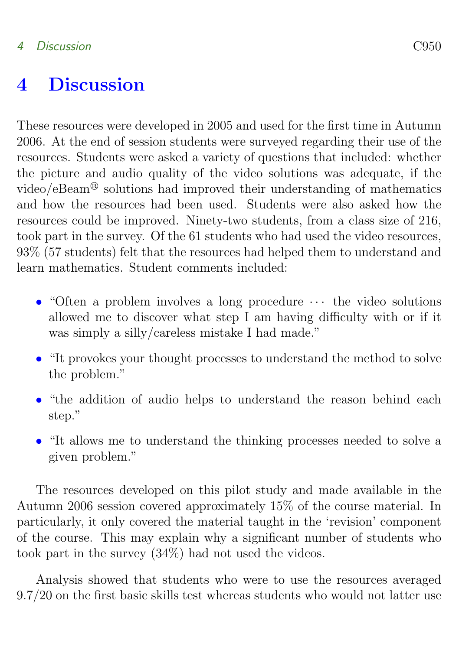## <span id="page-16-0"></span>4 Discussion

These resources were developed in 2005 and used for the first time in Autumn 2006. At the end of session students were surveyed regarding their use of the resources. Students were asked a variety of questions that included: whether the picture and audio quality of the video solutions was adequate, if the video/eBeam<sup>®</sup> solutions had improved their understanding of mathematics and how the resources had been used. Students were also asked how the resources could be improved. Ninety-two students, from a class size of 216, took part in the survey. Of the 61 students who had used the video resources, 93% (57 students) felt that the resources had helped them to understand and learn mathematics. Student comments included:

- "Often a problem involves a long procedure  $\cdots$  the video solutions allowed me to discover what step I am having difficulty with or if it was simply a silly/careless mistake I had made."
- "It provokes your thought processes to understand the method to solve the problem."
- "the addition of audio helps to understand the reason behind each step."
- "It allows me to understand the thinking processes needed to solve a given problem."

The resources developed on this pilot study and made available in the Autumn 2006 session covered approximately 15% of the course material. In particularly, it only covered the material taught in the 'revision' component of the course. This may explain why a significant number of students who took part in the survey (34%) had not used the videos.

Analysis showed that students who were to use the resources averaged 9.7/20 on the first basic skills test whereas students who would not latter use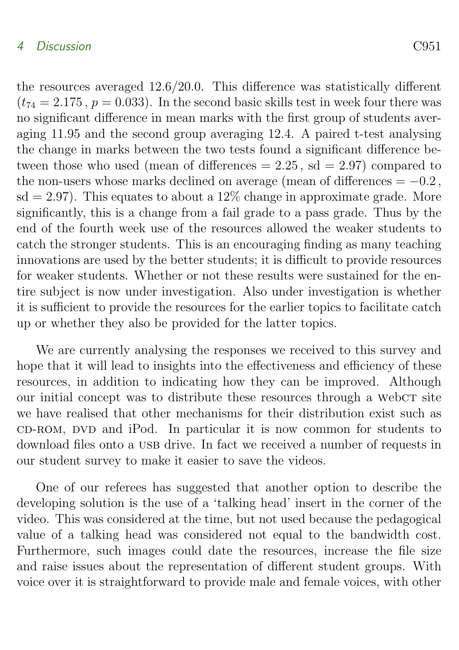#### 4 Discussion C951

the resources averaged 12.6/20.0. This difference was statistically different  $(t_{74} = 2.175, p = 0.033)$ . In the second basic skills test in week four there was no significant difference in mean marks with the first group of students averaging 11.95 and the second group averaging 12.4. A paired t-test analysing the change in marks between the two tests found a significant difference between those who used (mean of differences  $= 2.25$ , sd  $= 2.97$ ) compared to the non-users whose marks declined on average (mean of differences  $= -0.2$ ,  $sd = 2.97$ . This equates to about a  $12\%$  change in approximate grade. More significantly, this is a change from a fail grade to a pass grade. Thus by the end of the fourth week use of the resources allowed the weaker students to catch the stronger students. This is an encouraging finding as many teaching innovations are used by the better students; it is difficult to provide resources for weaker students. Whether or not these results were sustained for the entire subject is now under investigation. Also under investigation is whether it is sufficient to provide the resources for the earlier topics to facilitate catch up or whether they also be provided for the latter topics.

We are currently analysing the responses we received to this survey and hope that it will lead to insights into the effectiveness and efficiency of these resources, in addition to indicating how they can be improved. Although our initial concept was to distribute these resources through a webc $\tau$  site we have realised that other mechanisms for their distribution exist such as cD-ROM, DVD and iPod. In particular it is now common for students to download files onto a USB drive. In fact we received a number of requests in our student survey to make it easier to save the videos.

One of our referees has suggested that another option to describe the developing solution is the use of a 'talking head' insert in the corner of the video. This was considered at the time, but not used because the pedagogical value of a talking head was considered not equal to the bandwidth cost. Furthermore, such images could date the resources, increase the file size and raise issues about the representation of different student groups. With voice over it is straightforward to provide male and female voices, with other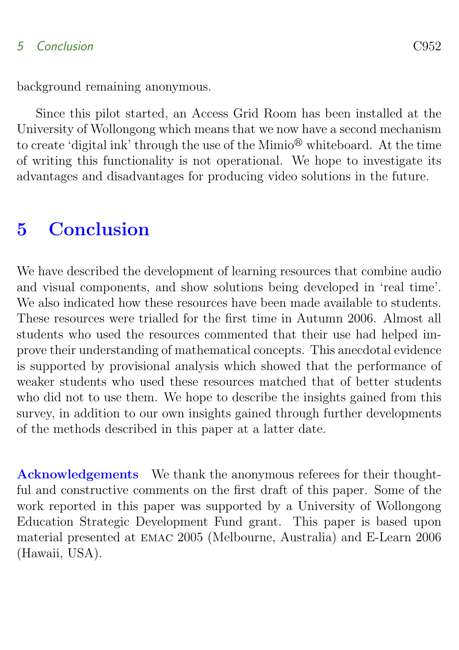### 5 Conclusion C952

background remaining anonymous.

Since this pilot started, an Access Grid Room has been installed at the University of Wollongong which means that we now have a second mechanism to create 'digital ink' through the use of the Mimio<sup>®</sup> whiteboard. At the time of writing this functionality is not operational. We hope to investigate its advantages and disadvantages for producing video solutions in the future.

## <span id="page-18-0"></span>5 Conclusion

We have described the development of learning resources that combine audio and visual components, and show solutions being developed in 'real time'. We also indicated how these resources have been made available to students. These resources were trialled for the first time in Autumn 2006. Almost all students who used the resources commented that their use had helped improve their understanding of mathematical concepts. This anecdotal evidence is supported by provisional analysis which showed that the performance of weaker students who used these resources matched that of better students who did not to use them. We hope to describe the insights gained from this survey, in addition to our own insights gained through further developments of the methods described in this paper at a latter date.

Acknowledgements We thank the anonymous referees for their thoughtful and constructive comments on the first draft of this paper. Some of the work reported in this paper was supported by a University of Wollongong Education Strategic Development Fund grant. This paper is based upon material presented at emac 2005 (Melbourne, Australia) and E-Learn 2006 (Hawaii, USA).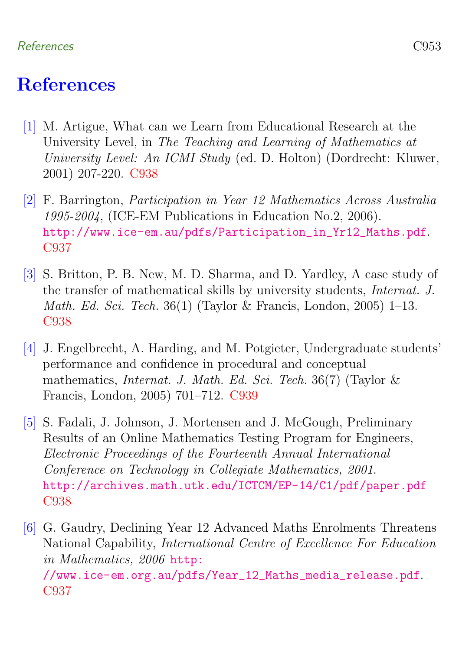#### References C953

## **References**

- <span id="page-19-4"></span><span id="page-19-0"></span>[1] M. Artigue, What can we Learn from Educational Research at the University Level, in The Teaching and Learning of Mathematics at University Level: An ICMI Study (ed. D. Holton) (Dordrecht: Kluwer, 2001) 207-220. [C938](#page-4-1)
- <span id="page-19-1"></span>[2] F. Barrington, Participation in Year 12 Mathematics Across Australia 1995-2004, (ICE-EM Publications in Education No.2, 2006). [http://www.ice-em.au/pdfs/Participation\\_in\\_Yr12\\_Maths.pdf](http://www.ice-em.au/pdfs/Participation_in_Yr12_Maths.pdf). [C937](#page-3-0)
- <span id="page-19-3"></span>[3] S. Britton, P. B. New, M. D. Sharma, and D. Yardley, A case study of the transfer of mathematical skills by university students, Internat. J. *Math. Ed. Sci. Tech.* 36(1) (Taylor & Francis, London, 2005) 1–13. [C938](#page-4-1)
- <span id="page-19-6"></span>[4] J. Engelbrecht, A. Harding, and M. Potgieter, Undergraduate students' performance and confidence in procedural and conceptual mathematics, *Internat. J. Math. Ed. Sci. Tech.* 36(7) (Taylor  $\&$ Francis, London, 2005) 701–712. [C939](#page-5-0)
- <span id="page-19-5"></span>[5] S. Fadali, J. Johnson, J. Mortensen and J. McGough, Preliminary Results of an Online Mathematics Testing Program for Engineers, Electronic Proceedings of the Fourteenth Annual International Conference on Technology in Collegiate Mathematics, 2001. <http://archives.math.utk.edu/ICTCM/EP-14/C1/pdf/paper.pdf> [C938](#page-4-1)
- <span id="page-19-2"></span>[6] G. Gaudry, Declining Year 12 Advanced Maths Enrolments Threatens National Capability, International Centre of Excellence For Education in Mathematics, 2006 [http:](http://www.ice-em.org.au/pdfs/Year_12_Maths_media_release.pdf) [//www.ice-em.org.au/pdfs/Year\\_12\\_Maths\\_media\\_release.pdf](http://www.ice-em.org.au/pdfs/Year_12_Maths_media_release.pdf). [C937](#page-3-0)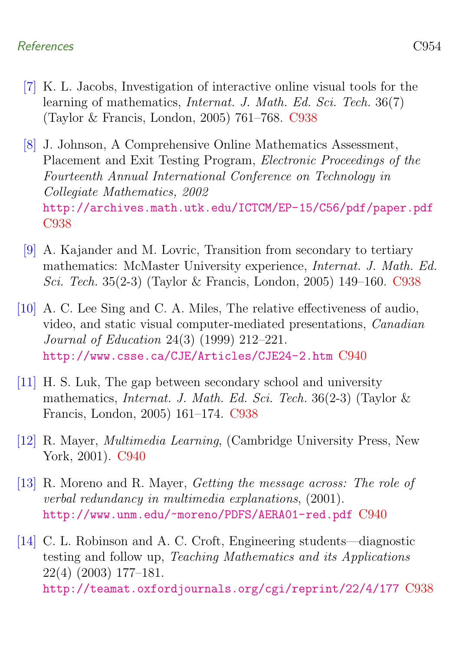#### References C954

- <span id="page-20-4"></span>[7] K. L. Jacobs, Investigation of interactive online visual tools for the learning of mathematics, *Internat. J. Math. Ed. Sci. Tech.* 36(7) (Taylor & Francis, London, 2005) 761–768. [C938](#page-4-1)
- <span id="page-20-0"></span>[8] J. Johnson, A Comprehensive Online Mathematics Assessment, Placement and Exit Testing Program, Electronic Proceedings of the Fourteenth Annual International Conference on Technology in Collegiate Mathematics, 2002 <http://archives.math.utk.edu/ICTCM/EP-15/C56/pdf/paper.pdf> [C938](#page-4-1)
- <span id="page-20-1"></span>[9] A. Kajander and M. Lovric, Transition from secondary to tertiary mathematics: McMaster University experience, Internat. J. Math. Ed. Sci. Tech. 35(2-3) (Taylor & Francis, London, 2005) 149–160. [C938](#page-4-1)
- <span id="page-20-5"></span>[10] A. C. Lee Sing and C. A. Miles, The relative effectiveness of audio, video, and static visual computer-mediated presentations, Canadian Journal of Education 24(3) (1999) 212–221. <http://www.csse.ca/CJE/Articles/CJE24-2.htm> [C940](#page-6-1)
- <span id="page-20-2"></span>[11] H. S. Luk, The gap between secondary school and university mathematics, Internat. J. Math. Ed. Sci. Tech. 36(2-3) (Taylor & Francis, London, 2005) 161–174. [C938](#page-4-1)
- <span id="page-20-6"></span>[12] R. Mayer, Multimedia Learning, (Cambridge University Press, New York, 2001). [C940](#page-6-1)
- <span id="page-20-7"></span>[13] R. Moreno and R. Mayer, Getting the message across: The role of verbal redundancy in multimedia explanations, (2001). <http://www.unm.edu/~moreno/PDFS/AERA01-red.pdf> [C940](#page-6-1)
- <span id="page-20-3"></span>[14] C. L. Robinson and A. C. Croft, Engineering students—diagnostic testing and follow up, Teaching Mathematics and its Applications 22(4) (2003) 177–181. <http://teamat.oxfordjournals.org/cgi/reprint/22/4/177> [C938](#page-4-1)